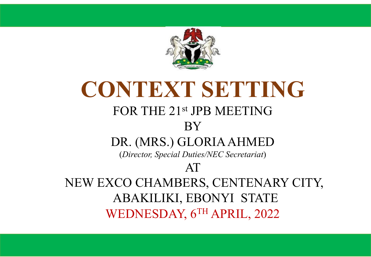

#### **CONTEXT SETTING**  FOR THE 21st JPB MEETING BY DR. (MRS.) GLORIA AHMED (*Director, Special Duties/NEC Secretariat*) AT NEW EXCO CHAMBERS, CENTENARY CITY, ABAKILIKI, EBONYI STATE WEDNESDAY, 6TH APRIL, 2022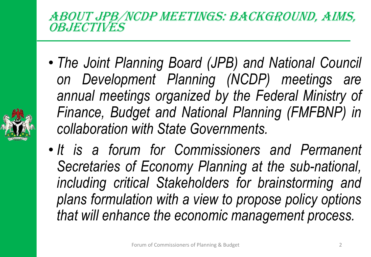ABOUT JPB/NCDP MEETINGS: BACKGROUND, AIMS, **OBJECTIVES** 

- *The Joint Planning Board (JPB) and National Council on Development Planning (NCDP) meetings are annual meetings organized by the Federal Ministry of Finance, Budget and National Planning (FMFBNP) in collaboration with State Governments.*
- *It is a forum for Commissioners and Permanent Secretaries of Economy Planning at the sub-national, including critical Stakeholders for brainstorming and plans formulation with a view to propose policy options that will enhance the economic management process.*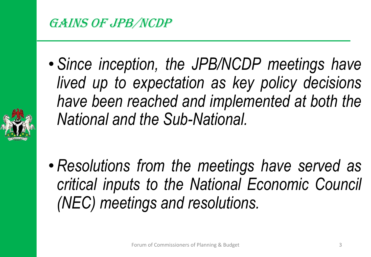#### GAINS OF JPB/NCDP

• *Since inception, the JPB/NCDP meetings have lived up to expectation as key policy decisions have been reached and implemented at both the National and the Sub-National.*



• *Resolutions from the meetings have served as critical inputs to the National Economic Council (NEC) meetings and resolutions.*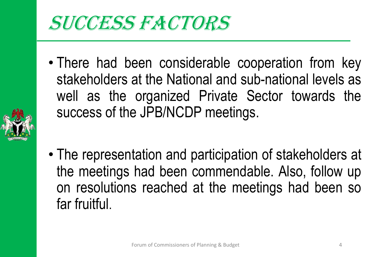## SUCCESS FACTORS

• There had been considerable cooperation from key stakeholders at the National and sub-national levels as well as the organized Private Sector towards the success of the JPB/NCDP meetings.



• The representation and participation of stakeholders at the meetings had been commendable. Also, follow up on resolutions reached at the meetings had been so far fruitful.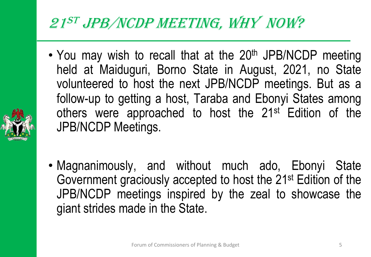#### <sup>21</sup>ST JPB/NCDP MEETING, WHY NOW?

- You may wish to recall that at the 20<sup>th</sup> JPB/NCDP meeting held at Maiduguri, Borno State in August, 2021, no State volunteered to host the next JPB/NCDP meetings. But as a follow-up to getting a host, Taraba and Ebonyi States among others were approached to host the 21<sup>st</sup> Edition of the JPB/NCDP Meetings.
- 
- Magnanimously, and without much ado, Ebonyi State Government graciously accepted to host the 21st Edition of the JPB/NCDP meetings inspired by the zeal to showcase the giant strides made in the State.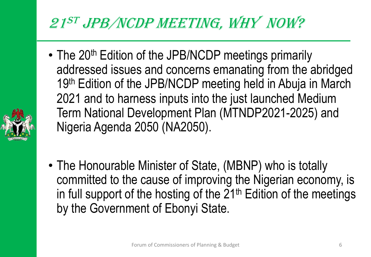#### <sup>21</sup>ST JPB/NCDP MEETING, WHY NOW?

• The 20<sup>th</sup> Edition of the JPB/NCDP meetings primarily addressed issues and concerns emanating from the abridged 19<sup>th</sup> Edition of the JPB/NCDP meeting held in Abuja in March 2021 and to harness inputs into the just launched Medium Term National Development Plan (MTNDP2021-2025) and Nigeria Agenda 2050 (NA2050).



• The Honourable Minister of State, (MBNP) who is totally committed to the cause of improving the Nigerian economy, is in full support of the hosting of the  $21<sup>th</sup>$  Edition of the meetings by the Government of Ebonyi State.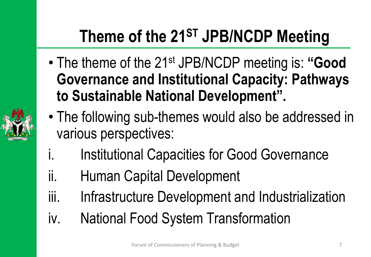## **Theme of the 21ST JPB/NCDP Meeting**

- The theme of the 21st JPB/NCDP meeting is: **"Good Governance and Institutional Capacity: Pathways to Sustainable National Development".**
- The following sub-themes would also be addressed in various perspectives:
- i. Institutional Capacities for Good Governance
- ii. Human Capital Development
- iii. Infrastructure Development and Industrialization
- iv. National Food System Transformation

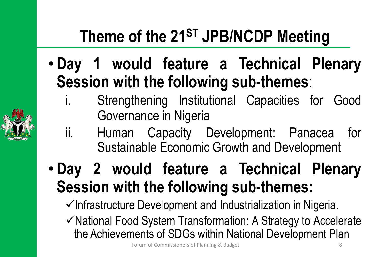## **Theme of the 21ST JPB/NCDP Meeting**

- **Day 1 would feature a Technical Plenary Session with the following sub-themes**:
	- i. Strengthening Institutional Capacities for Good Governance in Nigeria
	- ii. Human Capacity Development: Panacea for Sustainable Economic Growth and Development
- **Day 2 would feature a Technical Plenary Session with the following sub-themes:**
	- $\checkmark$ Infrastructure Development and Industrialization in Nigeria.
	- $\checkmark$  National Food System Transformation: A Strategy to Accelerate the Achievements of SDGs within National Development Plan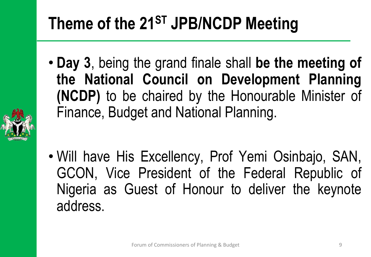### **Theme of the 21ST JPB/NCDP Meeting**

- **Day 3**, being the grand finale shall **be the meeting of the National Council on Development Planning (NCDP)** to be chaired by the Honourable Minister of Finance, Budget and National Planning.
- 
- Will have His Excellency, Prof Yemi Osinbajo, SAN, GCON, Vice President of the Federal Republic of Nigeria as Guest of Honour to deliver the keynote address.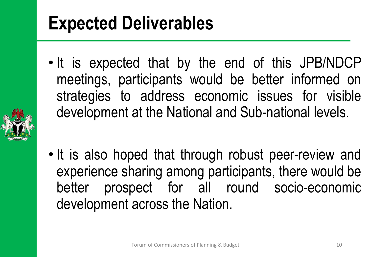# **Expected Deliverables**

• It is expected that by the end of this JPB/NDCP meetings, participants would be better informed on strategies to address economic issues for visible development at the National and Sub-national levels.



• It is also hoped that through robust peer-review and experience sharing among participants, there would be better prospect for all round socio-economic development across the Nation.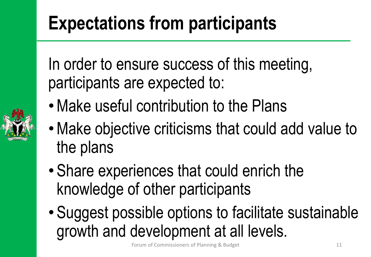# **Expectations from participants**

In order to ensure success of this meeting, participants are expected to:

- Make useful contribution to the Plans
- •Make objective criticisms that could add value to the plans
- Share experiences that could enrich the knowledge of other participants
- Suggest possible options to facilitate sustainable growth and development at all levels.